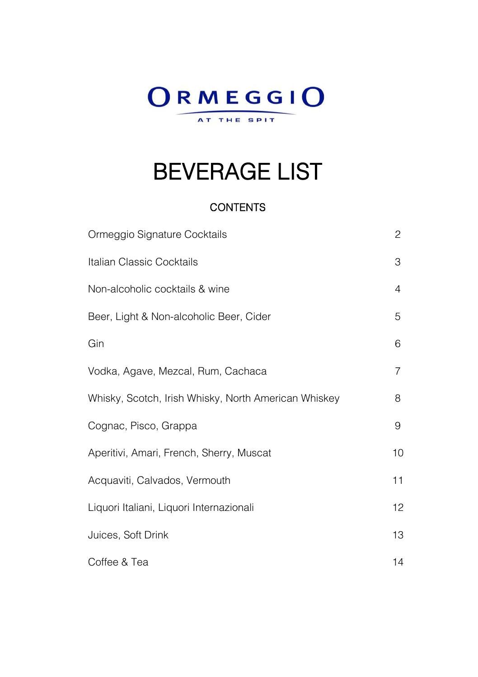# ORMEGGIO AT THE SPIT

# BEVERAGE LIST

#### **CONTENTS**

| Ormeggio Signature Cocktails                         | 2              |
|------------------------------------------------------|----------------|
| Italian Classic Cocktails                            | 3              |
| Non-alcoholic cocktails & wine                       | 4              |
| Beer, Light & Non-alcoholic Beer, Cider              | 5              |
| Gin                                                  | 6              |
| Vodka, Agave, Mezcal, Rum, Cachaca                   | $\overline{7}$ |
| Whisky, Scotch, Irish Whisky, North American Whiskey | 8              |
| Cognac, Pisco, Grappa                                | 9              |
| Aperitivi, Amari, French, Sherry, Muscat             | 10             |
| Acquaviti, Calvados, Vermouth                        | 11             |
| Liquori Italiani, Liquori Internazionali             | 12             |
| Juices, Soft Drink                                   | 13             |
| Coffee & Tea                                         | 14             |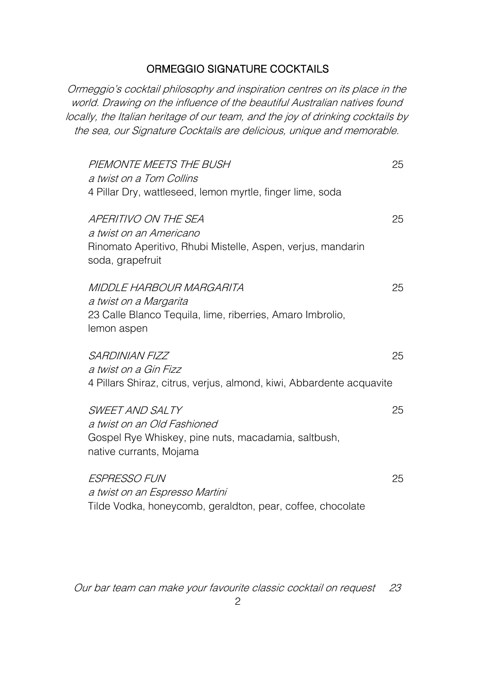#### ORMEGGIO SIGNATURE COCKTAILS

Ormeggio's cocktail philosophy and inspiration centres on its place in the world. Drawing on the influence of the beautiful Australian natives found locally, the Italian heritage of our team, and the joy of drinking cocktails by the sea, our Signature Cocktails are delicious, unique and memorable.

| PIEMONTE MEETS THE BUSH<br>a twist on a Tom Collins<br>4 Pillar Dry, wattleseed, lemon myrtle, finger lime, soda                   | 25 |
|------------------------------------------------------------------------------------------------------------------------------------|----|
| APERITIVO ON THE SEA<br>a twist on an Americano<br>Rinomato Aperitivo, Rhubi Mistelle, Aspen, verjus, mandarin<br>soda, grapefruit | 25 |
| MIDDLE HARBOUR MARGARITA<br>a twist on a Margarita<br>23 Calle Blanco Tequila, lime, riberries, Amaro Imbrolio,<br>lemon aspen     | 25 |
| <b>SARDINIAN FIZZ</b><br>a twist on a Gin Fizz<br>4 Pillars Shiraz, citrus, verjus, almond, kiwi, Abbardente acquavite             | 25 |
| SWEET AND SALTY<br>a twist on an Old Fashioned<br>Gospel Rye Whiskey, pine nuts, macadamia, saltbush,<br>native currants, Mojama   | 25 |
| <i><b>ESPRESSO FUN</b></i><br>a twist on an Espresso Martini<br>Tilde Vodka, honeycomb, geraldton, pear, coffee, chocolate         | 25 |

Our bar team can make your favourite classic cocktail on request 23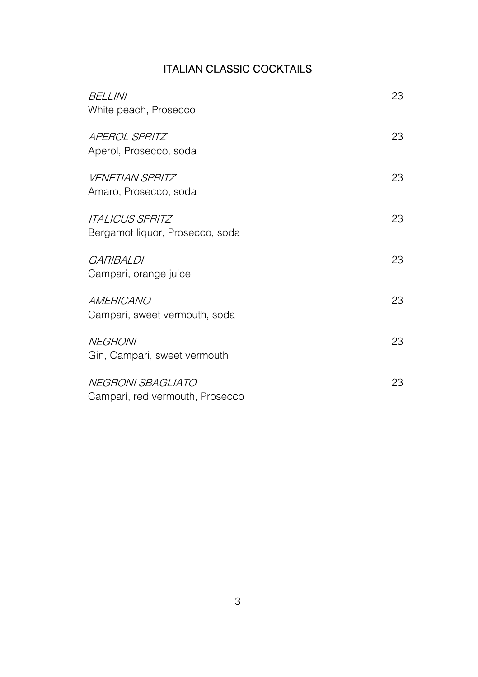# ITALIAN CLASSIC COCKTAILS

| <i>BELLINI</i><br>White peach, Prosecco                          | 23 |
|------------------------------------------------------------------|----|
| <b>APEROL SPRITZ</b><br>Aperol, Prosecco, soda                   | 23 |
| <i>VENETIAN SPRITZ</i><br>Amaro, Prosecco, soda                  | 23 |
| <i><b>ITALICUS SPRITZ</b></i><br>Bergamot liquor, Prosecco, soda | 23 |
| GARIBAI DI<br>Campari, orange juice                              | 23 |
| AMERICANO<br>Campari, sweet vermouth, soda                       | 23 |
| <b>NEGRONI</b><br>Gin, Campari, sweet vermouth                   | 23 |
| NEGRONI SBAGLIATO<br>Campari, red vermouth, Prosecco             | 23 |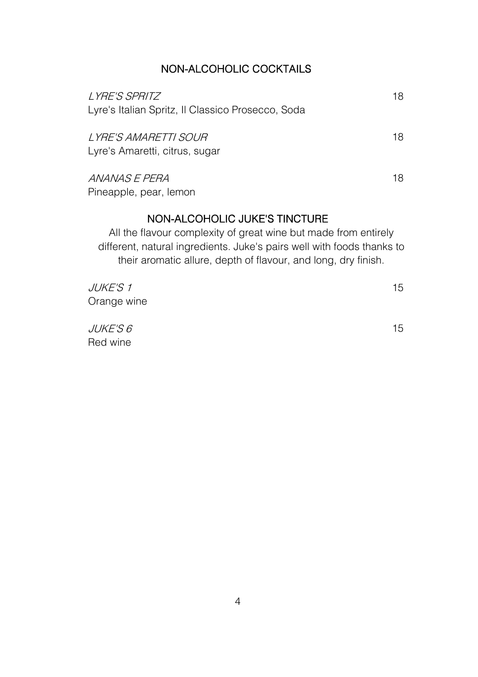# NON-ALCOHOLIC COCKTAILS

| <i>LYRE'S SPRITZ</i><br>Lyre's Italian Spritz, Il Classico Prosecco, Soda                        | 18 |
|--------------------------------------------------------------------------------------------------|----|
| <i>LYRE'S AMARETTI SOUR</i><br>Lyre's Amaretti, citrus, sugar                                    | 18 |
| ANANAS E PERA<br>Pineapple, pear, lemon                                                          | 18 |
| NON-ALCOHOLIC JUKE'S TINCTURE<br>All the flavour complexity of great wine but made from entirely |    |

different, natural ingredients. Juke's pairs well with foods thanks to their aromatic allure, depth of flavour, and long, dry finish.

| <i>JUKE'S 1</i> | 15 |
|-----------------|----|
| Orange wine     |    |
| <i>JUKE'S 6</i> | 15 |

Red wine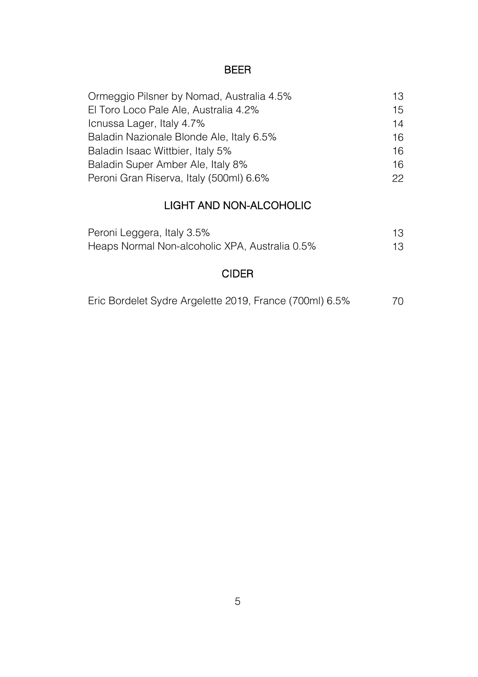#### BEER

| Ormeggio Pilsner by Nomad, Australia 4.5% | 13. |
|-------------------------------------------|-----|
| El Toro Loco Pale Ale, Australia 4.2%     | 15  |
| Icnussa Lager, Italy 4.7%                 | 14  |
| Baladin Nazionale Blonde Ale, Italy 6.5%  | 16  |
| Baladin Isaac Wittbier, Italy 5%          | 16  |
| Baladin Super Amber Ale, Italy 8%         | 16  |
| Peroni Gran Riserva, Italy (500ml) 6.6%   | 22. |

# LIGHT AND NON-ALCOHOLIC

| Peroni Leggera, Italy 3.5%                     | 13 |
|------------------------------------------------|----|
| Heaps Normal Non-alcoholic XPA, Australia 0.5% | 13 |

# CIDER

|  | Eric Bordelet Sydre Argelette 2019, France (700ml) 6.5% |  |  | 70 |
|--|---------------------------------------------------------|--|--|----|
|--|---------------------------------------------------------|--|--|----|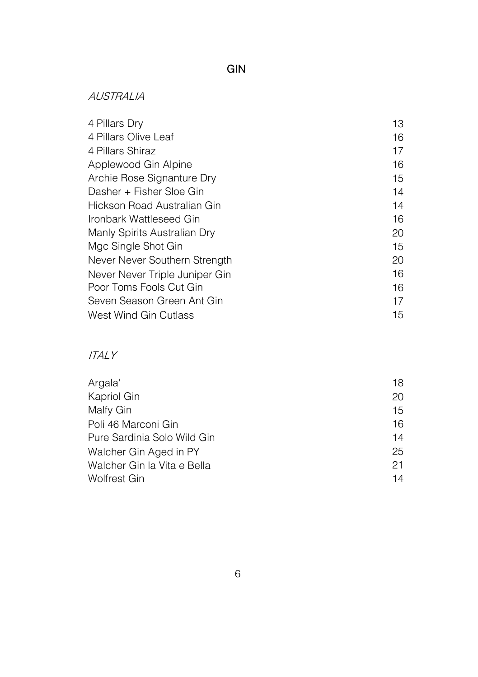# GIN

#### AUSTRALIA

| 4 Pillars Dry                  | 13 |
|--------------------------------|----|
| 4 Pillars Olive Leaf           | 16 |
| 4 Pillars Shiraz               | 17 |
| Applewood Gin Alpine           | 16 |
| Archie Rose Signanture Dry     | 15 |
| Dasher + Fisher Sloe Gin       | 14 |
| Hickson Road Australian Gin    | 14 |
| Ironbark Wattleseed Gin        | 16 |
| Manly Spirits Australian Dry   | 20 |
| Mgc Single Shot Gin            | 15 |
| Never Never Southern Strength  | 20 |
| Never Never Triple Juniper Gin | 16 |
| Poor Toms Fools Cut Gin        | 16 |
| Seven Season Green Ant Gin     | 17 |
| West Wind Gin Cutlass          | 15 |

#### ITALY

| Argala'                     | 18 |
|-----------------------------|----|
| Kapriol Gin                 | 20 |
| Malfy Gin                   | 15 |
| Poli 46 Marconi Gin         | 16 |
| Pure Sardinia Solo Wild Gin | 14 |
| Walcher Gin Aged in PY      | 25 |
| Walcher Gin la Vita e Bella | 21 |
| Wolfrest Gin                | 14 |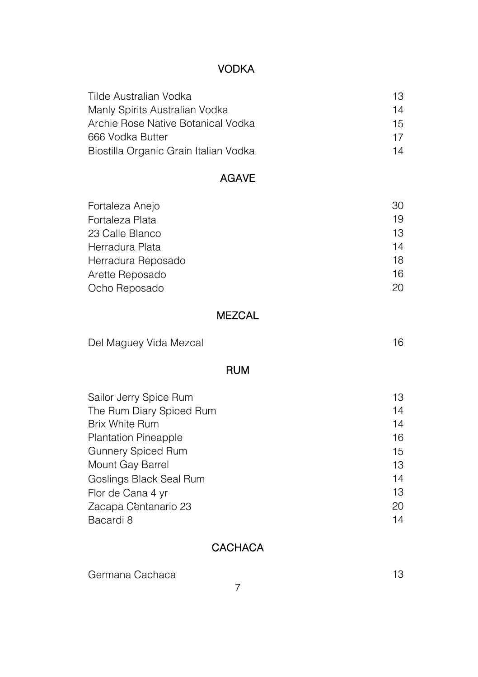# VODKA

| Tilde Australian Vodka                | 13 |
|---------------------------------------|----|
| Manly Spirits Australian Vodka        | 14 |
| Archie Rose Native Botanical Vodka    | 15 |
| 666 Vodka Butter                      | 17 |
| Biostilla Organic Grain Italian Vodka | 14 |

### AGAVE

| Fortaleza Anejo    | 30 |
|--------------------|----|
| Fortaleza Plata    | 19 |
| 23 Calle Blanco    | 13 |
| Herradura Plata    | 14 |
| Herradura Reposado | 18 |
| Arette Reposado    | 16 |
| Ocho Reposado      | 20 |

#### MEZCAL

| Del Maguey Vida Mezcal |  |
|------------------------|--|
|------------------------|--|

#### RUM

| Sailor Jerry Spice Rum      | 13 |
|-----------------------------|----|
| The Rum Diary Spiced Rum    | 14 |
| <b>Brix White Rum</b>       | 14 |
| <b>Plantation Pineapple</b> | 16 |
| <b>Gunnery Spiced Rum</b>   | 15 |
| Mount Gay Barrel            | 13 |
| Goslings Black Seal Rum     | 14 |
| Flor de Cana 4 yr           | 13 |
| Zacapa Centanario 23        | 20 |
| Bacardi 8                   | 14 |

# **CACHACA**

Germana Cachaca **13**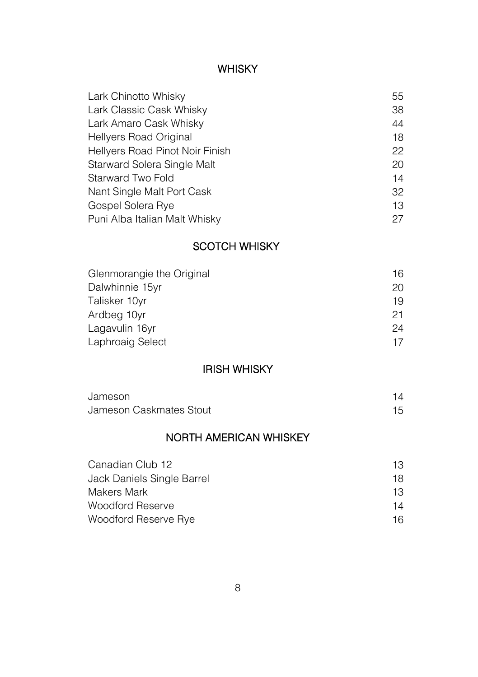#### WHISKY

| Lark Chinotto Whisky            | 55 |
|---------------------------------|----|
| Lark Classic Cask Whisky        | 38 |
| Lark Amaro Cask Whisky          | 44 |
| Hellyers Road Original          | 18 |
| Hellyers Road Pinot Noir Finish | 22 |
| Starward Solera Single Malt     | 20 |
| Starward Two Fold               | 14 |
| Nant Single Malt Port Cask      | 32 |
| Gospel Solera Rye               | 13 |
| Puni Alba Italian Malt Whisky   | 27 |

#### SCOTCH WHISKY

| Glenmorangie the Original<br>Dalwhinnie 15yr | 16<br>20 |
|----------------------------------------------|----------|
|                                              |          |
| Ardbeg 10yr                                  | 21       |
| Lagavulin 16yr                               | 24       |
| Laphroaig Select                             | 17       |

#### IRISH WHISKY

| Jameson                 |  |
|-------------------------|--|
| Jameson Caskmates Stout |  |

# NORTH AMERICAN WHISKEY

| Canadian Club 12           | 13 |
|----------------------------|----|
| Jack Daniels Single Barrel | 18 |
| Makers Mark                | 13 |
| Woodford Reserve           | 14 |
| Woodford Reserve Rye       | 16 |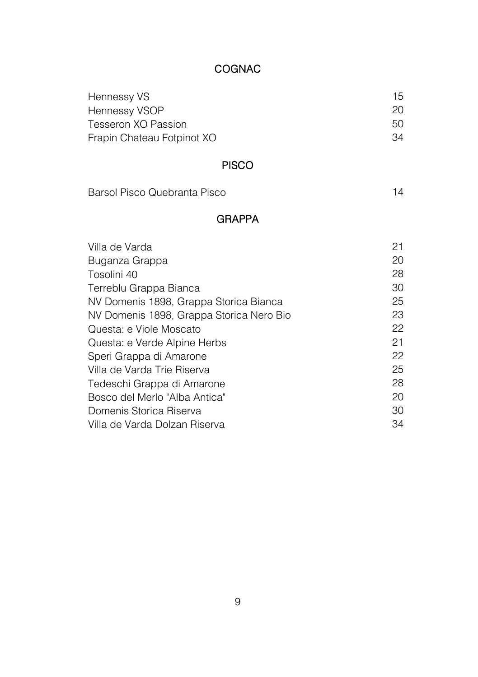# COGNAC

| Hennessy VS                | 15  |
|----------------------------|-----|
| Hennessy VSOP              | 20  |
| Tesseron XO Passion        | 50. |
| Frapin Chateau Fotpinot XO | 34  |

# PISCO

| Barsol Pisco Quebranta Pisco | 14 |
|------------------------------|----|
|                              |    |

# GRAPPA

| Villa de Varda                           | 21 |
|------------------------------------------|----|
| Buganza Grappa                           | 20 |
| Tosolini 40                              | 28 |
| Terreblu Grappa Bianca                   | 30 |
| NV Domenis 1898, Grappa Storica Bianca   | 25 |
| NV Domenis 1898, Grappa Storica Nero Bio | 23 |
| Questa: e Viole Moscato                  | 22 |
| Questa: e Verde Alpine Herbs             | 21 |
| Speri Grappa di Amarone                  | 22 |
| Villa de Varda Trie Riserva              | 25 |
| Tedeschi Grappa di Amarone               | 28 |
| Bosco del Merlo "Alba Antica"            | 20 |
| Domenis Storica Riserva                  | 30 |
| Villa de Varda Dolzan Riserva            | 34 |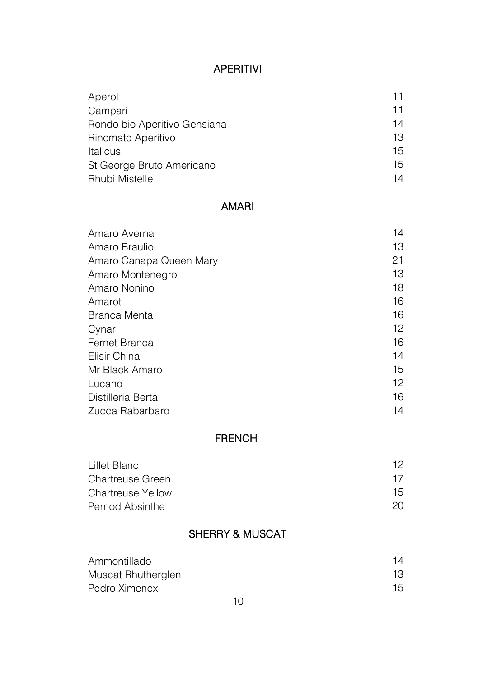# APERITIVI

| Aperol                       | 11 |
|------------------------------|----|
| Campari                      | 11 |
| Rondo bio Aperitivo Gensiana | 14 |
| Rinomato Aperitivo           | 13 |
| Italicus                     | 15 |
| St George Bruto Americano    | 15 |
| <b>Rhubi Mistelle</b>        | 14 |

#### AMARI

| Amaro Averna            | 14 |
|-------------------------|----|
| Amaro Braulio           | 13 |
| Amaro Canapa Queen Mary | 21 |
| Amaro Montenegro        | 13 |
| Amaro Nonino            | 18 |
| Amarot                  | 16 |
| <b>Branca Menta</b>     | 16 |
| Cynar                   | 12 |
| Fernet Branca           | 16 |
| Elisir China            | 14 |
| Mr Black Amaro          | 15 |
| Lucano                  | 12 |
| Distilleria Berta       | 16 |
| Zucca Rabarbaro         | 14 |

#### FRENCH

| Lillet Blanc             | 12 |  |
|--------------------------|----|--|
| <b>Chartreuse Green</b>  | 17 |  |
| <b>Chartreuse Yellow</b> | 15 |  |
| Pernod Absinthe          | 20 |  |

# SHERRY & MUSCAT

| Ammontillado       | 14 |
|--------------------|----|
| Muscat Rhutherglen | 13 |
| Pedro Ximenex      | 15 |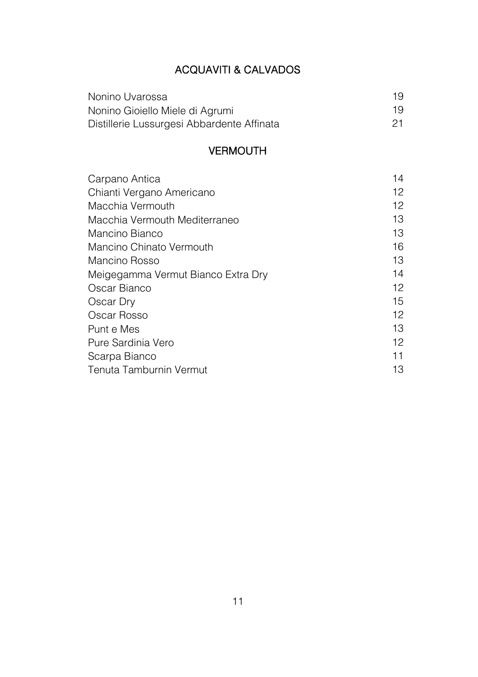# ACQUAVITI & CALVADOS

| Nonino Uvarossa                            | 19 |
|--------------------------------------------|----|
| Nonino Gioiello Miele di Agrumi            | 19 |
| Distillerie Lussurgesi Abbardente Affinata |    |

#### VERMOUTH

| Carpano Antica                     | 14 |
|------------------------------------|----|
| Chianti Vergano Americano          | 12 |
| Macchia Vermouth                   | 12 |
| Macchia Vermouth Mediterraneo      | 13 |
| Mancino Bianco                     | 13 |
| Mancino Chinato Vermouth           | 16 |
| Mancino Rosso                      | 13 |
| Meigegamma Vermut Bianco Extra Dry | 14 |
| Oscar Bianco                       | 12 |
| Oscar Dry                          | 15 |
| Oscar Rosso                        | 12 |
| Punt e Mes                         | 13 |
| Pure Sardinia Vero                 | 12 |
| Scarpa Bianco                      | 11 |
| Tenuta Tamburnin Vermut            | 13 |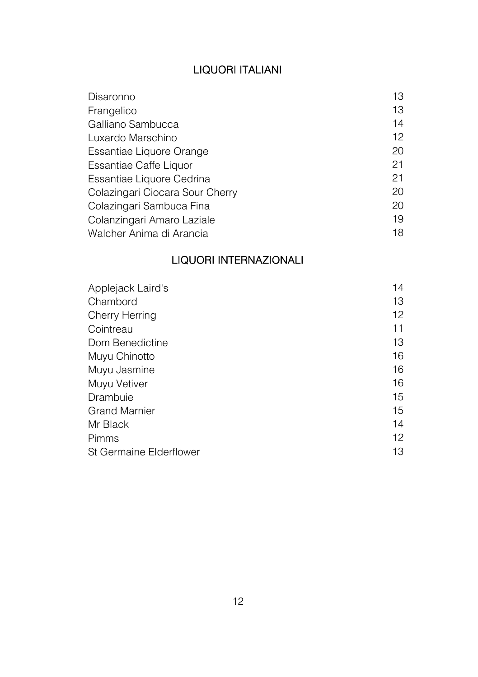# LIQUORI ITALIANI

| Disaronno                       | 13 |
|---------------------------------|----|
| Frangelico                      | 13 |
| Galliano Sambucca               | 14 |
| Luxardo Marschino               | 12 |
| Essantiae Liquore Orange        | 20 |
| Essantiae Caffe Liquor          | 21 |
| Essantiae Liquore Cedrina       | 21 |
| Colazingari Ciocara Sour Cherry | 20 |
| Colazingari Sambuca Fina        | 20 |
| Colanzingari Amaro Laziale      | 19 |
| Walcher Anima di Arancia        | 18 |
|                                 |    |

# LIQUORI INTERNAZIONALI

| Applejack Laird's       | 14 |
|-------------------------|----|
| Chambord                | 13 |
| Cherry Herring          | 12 |
| Cointreau               | 11 |
| Dom Benedictine         | 13 |
| Muyu Chinotto           | 16 |
| Muyu Jasmine            | 16 |
| Muyu Vetiver            | 16 |
| Drambuie                | 15 |
| <b>Grand Marnier</b>    | 15 |
| Mr Black                | 14 |
| Pimms                   | 12 |
| St Germaine Elderflower | 13 |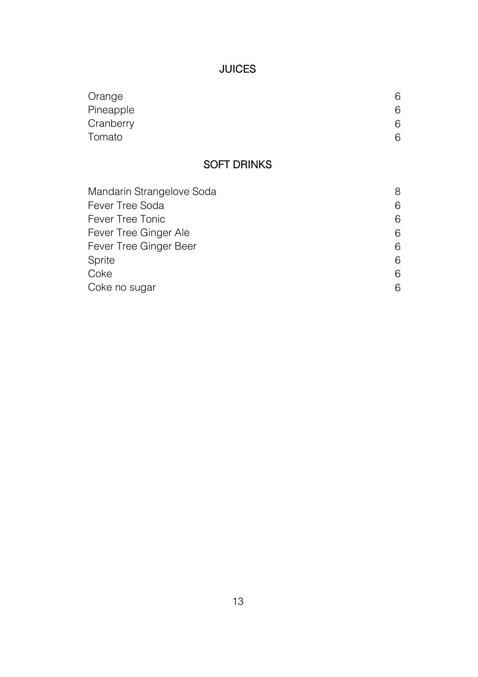# JUICES

| Orange    | 6 |
|-----------|---|
| Pineapple | 6 |
| Cranberry | 6 |
| Tomato    | 6 |

# SOFT DRINKS

| Mandarin Strangelove Soda | 8 |
|---------------------------|---|
| Fever Tree Soda           | 6 |
| Fever Tree Tonic          | 6 |
| Fever Tree Ginger Ale     | 6 |
| Fever Tree Ginger Beer    | 6 |
| Sprite                    | 6 |
| Coke                      | 6 |
| Coke no sugar             | 6 |